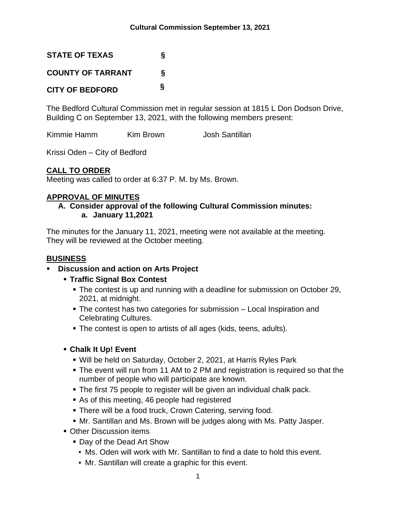**STATE OF TEXAS § COUNTY OF TARRANT § CITY OF BEDFORD §**

The Bedford Cultural Commission met in regular session at 1815 L Don Dodson Drive, Building C on September 13, 2021, with the following members present:

Kimmie Hamm Kim Brown Josh Santillan

Krissi Oden – City of Bedford

# **CALL TO ORDER**

Meeting was called to order at 6:37 P. M. by Ms. Brown.

# **APPROVAL OF MINUTES**

### **A. Consider approval of the following Cultural Commission minutes: a. January 11,2021**

The minutes for the January 11, 2021, meeting were not available at the meeting. They will be reviewed at the October meeting.

# **BUSINESS**

### **Discussion and action on Arts Project**

- **Traffic Signal Box Contest**
	- The contest is up and running with a deadline for submission on October 29, 2021, at midnight.
	- The contest has two categories for submission Local Inspiration and Celebrating Cultures.
	- The contest is open to artists of all ages (kids, teens, adults).

# **Chalk It Up! Event**

- Will be held on Saturday, October 2, 2021, at Harris Ryles Park
- The event will run from 11 AM to 2 PM and registration is required so that the number of people who will participate are known.
- The first 75 people to register will be given an individual chalk pack.
- As of this meeting, 46 people had registered
- There will be a food truck, Crown Catering, serving food.
- Mr. Santillan and Ms. Brown will be judges along with Ms. Patty Jasper.
- **Other Discussion items** 
	- Day of the Dead Art Show
		- Ms. Oden will work with Mr. Santillan to find a date to hold this event.
		- Mr. Santillan will create a graphic for this event.